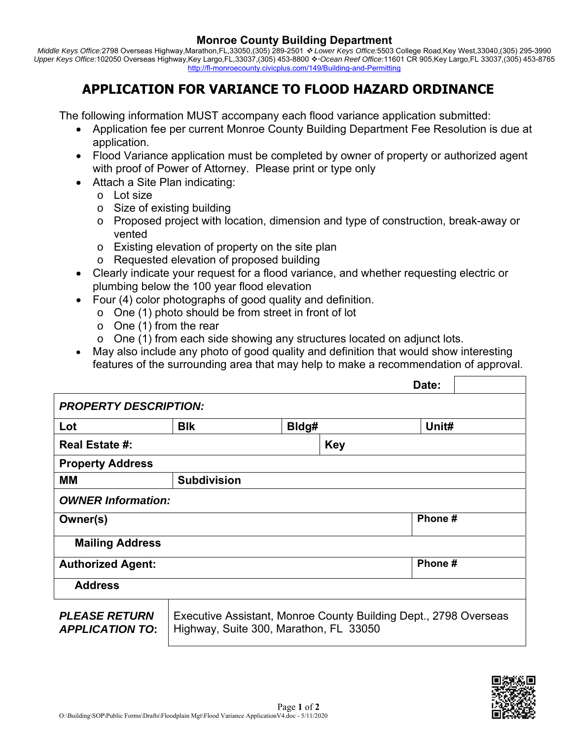## **Monroe County Building Department**

*Middle Keys Office:*2798 Overseas Highway,Marathon,FL,33050,(305) 289-2501  *Lower Keys Office:*5503 College Road,Key West,33040,(305) 295-3990 Upper Keys Office:102050 Overseas Highway,Key Largo,FL,33037,(305) 453-8800 ❖ Ocean Reef Office:11601 CR 905,Key Largo,FL 33037,(305) 453-8765 http://fl-monroecounty.civicplus.com/149/Building-and-Permitting

# **APPLICATION FOR VARIANCE TO FLOOD HAZARD ORDINANCE**

The following information MUST accompany each flood variance application submitted:

- Application fee per current Monroe County Building Department Fee Resolution is due at application.
- Flood Variance application must be completed by owner of property or authorized agent with proof of Power of Attorney. Please print or type only
- Attach a Site Plan indicating:
	- o Lot size
	- o Size of existing building
	- o Proposed project with location, dimension and type of construction, break-away or vented
	- o Existing elevation of property on the site plan
	- o Requested elevation of proposed building
- Clearly indicate your request for a flood variance, and whether requesting electric or plumbing below the 100 year flood elevation
- Four (4) color photographs of good quality and definition.
	- o One (1) photo should be from street in front of lot
	- $\circ$  One (1) from the rear
	- o One (1) from each side showing any structures located on adjunct lots.
- May also include any photo of good quality and definition that would show interesting features of the surrounding area that may help to make a recommendation of approval.

|                                                |                                                                                                            |       |            | Date:   |  |
|------------------------------------------------|------------------------------------------------------------------------------------------------------------|-------|------------|---------|--|
| <b>PROPERTY DESCRIPTION:</b>                   |                                                                                                            |       |            |         |  |
| Lot                                            | <b>BIK</b>                                                                                                 | Bldg# |            | Unit#   |  |
| Real Estate #:                                 |                                                                                                            |       | <b>Key</b> |         |  |
| <b>Property Address</b>                        |                                                                                                            |       |            |         |  |
| MМ                                             | <b>Subdivision</b>                                                                                         |       |            |         |  |
| <b>OWNER Information:</b>                      |                                                                                                            |       |            |         |  |
| Owner(s)                                       |                                                                                                            |       |            | Phone # |  |
| <b>Mailing Address</b>                         |                                                                                                            |       |            |         |  |
| <b>Authorized Agent:</b>                       |                                                                                                            |       |            | Phone # |  |
| <b>Address</b>                                 |                                                                                                            |       |            |         |  |
| <b>PLEASE RETURN</b><br><b>APPLICATION TO:</b> | Executive Assistant, Monroe County Building Dept., 2798 Overseas<br>Highway, Suite 300, Marathon, FL 33050 |       |            |         |  |